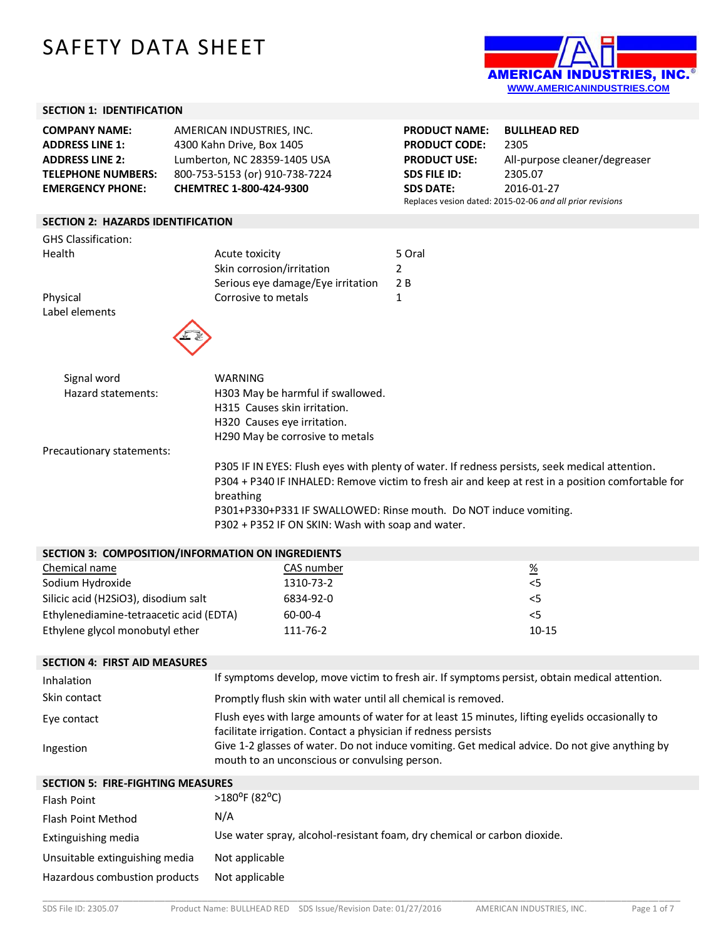# SAFETY DATA SHEET



### **SECTION 1: IDENTIFICATION**

| <b>COMPANY NAME:</b>      | AMERICAN INDUSTRIES, INC.      |
|---------------------------|--------------------------------|
| <b>ADDRESS LINE 1:</b>    | 4300 Kahn Drive, Box 1405      |
| <b>ADDRESS LINE 2:</b>    | Lumberton, NC 28359-1405 USA   |
| <b>TELEPHONE NUMBERS:</b> | 800-753-5153 (or) 910-738-7224 |
| <b>EMERGENCY PHONE:</b>   | CHEMTREC 1-800-424-9300        |

**PRODUCT NAME: BULLHEAD RED PRODUCT CODE:** 2305 **PRODUCT USE:** All-purpose cleaner/degreaser **SDS FILE ID:** 2305.07 **SDS DATE:** 2016-01-27 Replaces vesion dated: 2015-02-06 *and all prior revisions*

#### **SECTION 2: HAZARDS IDENTIFICATION**

| <b>GHS Classification:</b> |                                   |        |
|----------------------------|-----------------------------------|--------|
| Health                     | Acute toxicity                    | 5 Oral |
|                            | Skin corrosion/irritation         |        |
|                            | Serious eye damage/Eye irritation | 2 B    |
| Physical                   | Corrosive to metals               |        |



| WARNING                                     |
|---------------------------------------------|
| H303 May be harmful if swallowed.           |
| H315 Causes skin irritation.                |
| H320 Causes eye irritation.                 |
| H <sub>290</sub> May be corrosive to metals |
|                                             |

Precautionary statements:

Label elements

P305 IF IN EYES: Flush eyes with plenty of water. If redness persists, seek medical attention. P304 + P340 IF INHALED: Remove victim to fresh air and keep at rest in a position comfortable for breathing P301+P330+P331 IF SWALLOWED: Rinse mouth. Do NOT induce vomiting. P302 + P352 IF ON SKIN: Wash with soap and water.

| SECTION 3: COMPOSITION/INFORMATION ON INGREDIENTS |            |                 |  |  |  |
|---------------------------------------------------|------------|-----------------|--|--|--|
| Chemical name                                     | CAS number | $\frac{\%}{\%}$ |  |  |  |
| Sodium Hydroxide                                  | 1310-73-2  | $<$ 5           |  |  |  |
| Silicic acid (H2SiO3), disodium salt              | 6834-92-0  | <5              |  |  |  |
| Ethylenediamine-tetraacetic acid (EDTA)           | 60-00-4    | <5              |  |  |  |
| Ethylene glycol monobutyl ether                   | 111-76-2   | $10 - 15$       |  |  |  |

**SECTION 4: FIRST AID MEASURES** Inhalation If symptoms develop, move victim to fresh air. If symptoms persist, obtain medical attention. Skin contact **Promptly flush skin with water until all chemical is removed.** Eye contact Flush eyes with large amounts of water for at least 15 minutes, lifting eyelids occasionally to facilitate irrigation. Contact a physician if redness persists Ingestion Give 1-2 glasses of water. Do not induce vomiting. Get medical advice. Do not give anything by mouth to an unconscious or convulsing person.

| <b>SECTION 5: FIRE-FIGHTING MEASURES</b> |                                                                          |  |  |  |
|------------------------------------------|--------------------------------------------------------------------------|--|--|--|
| <b>Flash Point</b>                       | $>180^{\circ}$ F (82°C)                                                  |  |  |  |
| Flash Point Method                       | N/A                                                                      |  |  |  |
| Extinguishing media                      | Use water spray, alcohol-resistant foam, dry chemical or carbon dioxide. |  |  |  |
| Unsuitable extinguishing media           | Not applicable                                                           |  |  |  |
| Hazardous combustion products            | Not applicable                                                           |  |  |  |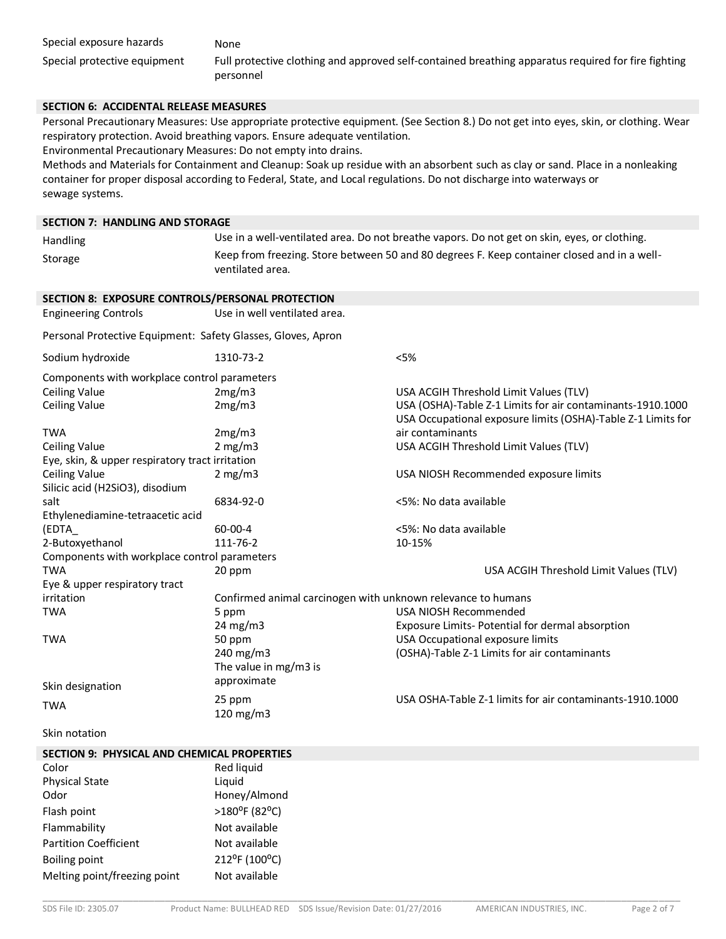#### **SECTION 6: ACCIDENTAL RELEASE MEASURES**

Personal Precautionary Measures: Use appropriate protective equipment. (See Section 8.) Do not get into eyes, skin, or clothing. Wear respiratory protection. Avoid breathing vapors. Ensure adequate ventilation.

Environmental Precautionary Measures: Do not empty into drains.

Methods and Materials for Containment and Cleanup: Soak up residue with an absorbent such as clay or sand. Place in a nonleaking container for proper disposal according to Federal, State, and Local regulations. Do not discharge into waterways or sewage systems.**7**

#### **SECTION 7: HANDLING AND STORAGE**

| Handling                                                     | Use in a well-ventilated area. Do not breathe vapors. Do not get on skin, eyes, or clothing.                    |                                                                                                                            |  |  |
|--------------------------------------------------------------|-----------------------------------------------------------------------------------------------------------------|----------------------------------------------------------------------------------------------------------------------------|--|--|
| Storage                                                      | Keep from freezing. Store between 50 and 80 degrees F. Keep container closed and in a well-<br>ventilated area. |                                                                                                                            |  |  |
|                                                              |                                                                                                                 |                                                                                                                            |  |  |
| SECTION 8: EXPOSURE CONTROLS/PERSONAL PROTECTION             |                                                                                                                 |                                                                                                                            |  |  |
| <b>Engineering Controls</b>                                  | Use in well ventilated area.                                                                                    |                                                                                                                            |  |  |
| Personal Protective Equipment: Safety Glasses, Gloves, Apron |                                                                                                                 |                                                                                                                            |  |  |
| Sodium hydroxide                                             | 1310-73-2                                                                                                       | < 5%                                                                                                                       |  |  |
| Components with workplace control parameters                 |                                                                                                                 |                                                                                                                            |  |  |
| <b>Ceiling Value</b>                                         | 2mg/m3                                                                                                          | USA ACGIH Threshold Limit Values (TLV)                                                                                     |  |  |
| <b>Ceiling Value</b>                                         | 2mg/m3                                                                                                          | USA (OSHA)-Table Z-1 Limits for air contaminants-1910.1000<br>USA Occupational exposure limits (OSHA)-Table Z-1 Limits for |  |  |
| <b>TWA</b>                                                   | 2mg/m3                                                                                                          | air contaminants                                                                                                           |  |  |
| <b>Ceiling Value</b>                                         | 2 mg/m3                                                                                                         | USA ACGIH Threshold Limit Values (TLV)                                                                                     |  |  |
| Eye, skin, & upper respiratory tract irritation              |                                                                                                                 |                                                                                                                            |  |  |
| <b>Ceiling Value</b>                                         | 2 mg/m3                                                                                                         | USA NIOSH Recommended exposure limits                                                                                      |  |  |
| Silicic acid (H2SiO3), disodium                              |                                                                                                                 |                                                                                                                            |  |  |
| salt                                                         | 6834-92-0                                                                                                       | <5%: No data available                                                                                                     |  |  |
| Ethylenediamine-tetraacetic acid                             |                                                                                                                 |                                                                                                                            |  |  |
| (EDTA_                                                       | 60-00-4                                                                                                         | <5%: No data available                                                                                                     |  |  |
| 2-Butoxyethanol                                              | 111-76-2                                                                                                        | 10-15%                                                                                                                     |  |  |
| Components with workplace control parameters                 |                                                                                                                 |                                                                                                                            |  |  |
| <b>TWA</b>                                                   | 20 ppm                                                                                                          | USA ACGIH Threshold Limit Values (TLV)                                                                                     |  |  |
| Eye & upper respiratory tract                                |                                                                                                                 |                                                                                                                            |  |  |
| irritation                                                   | Confirmed animal carcinogen with unknown relevance to humans                                                    |                                                                                                                            |  |  |
| TWA                                                          | 5 ppm                                                                                                           | USA NIOSH Recommended                                                                                                      |  |  |
|                                                              | 24 mg/m3                                                                                                        | Exposure Limits- Potential for dermal absorption                                                                           |  |  |
| TWA                                                          | 50 ppm                                                                                                          | USA Occupational exposure limits                                                                                           |  |  |
|                                                              | 240 mg/m3                                                                                                       | (OSHA)-Table Z-1 Limits for air contaminants                                                                               |  |  |
|                                                              | The value in mg/m3 is                                                                                           |                                                                                                                            |  |  |
| Skin designation                                             | approximate                                                                                                     |                                                                                                                            |  |  |
| <b>TWA</b>                                                   | 25 ppm                                                                                                          | USA OSHA-Table Z-1 limits for air contaminants-1910.1000                                                                   |  |  |
|                                                              | 120 mg/m3                                                                                                       |                                                                                                                            |  |  |
| Skin notation                                                |                                                                                                                 |                                                                                                                            |  |  |
| <b>SECTION 9: PHYSICAL AND CHEMICAL PROPERTIES</b>           |                                                                                                                 |                                                                                                                            |  |  |
| Color                                                        | Red liquid                                                                                                      |                                                                                                                            |  |  |
| <b>Physical State</b>                                        | Liquid                                                                                                          |                                                                                                                            |  |  |
| Odor                                                         | Honey/Almond                                                                                                    |                                                                                                                            |  |  |
| Flash point                                                  | >180°F (82°C)                                                                                                   |                                                                                                                            |  |  |
| Flammability                                                 | Not available                                                                                                   |                                                                                                                            |  |  |
| <b>Partition Coefficient</b>                                 | Not available                                                                                                   |                                                                                                                            |  |  |
| <b>Boiling point</b>                                         | 212°F (100°C)                                                                                                   |                                                                                                                            |  |  |
| Melting point/freezing point                                 | Not available                                                                                                   |                                                                                                                            |  |  |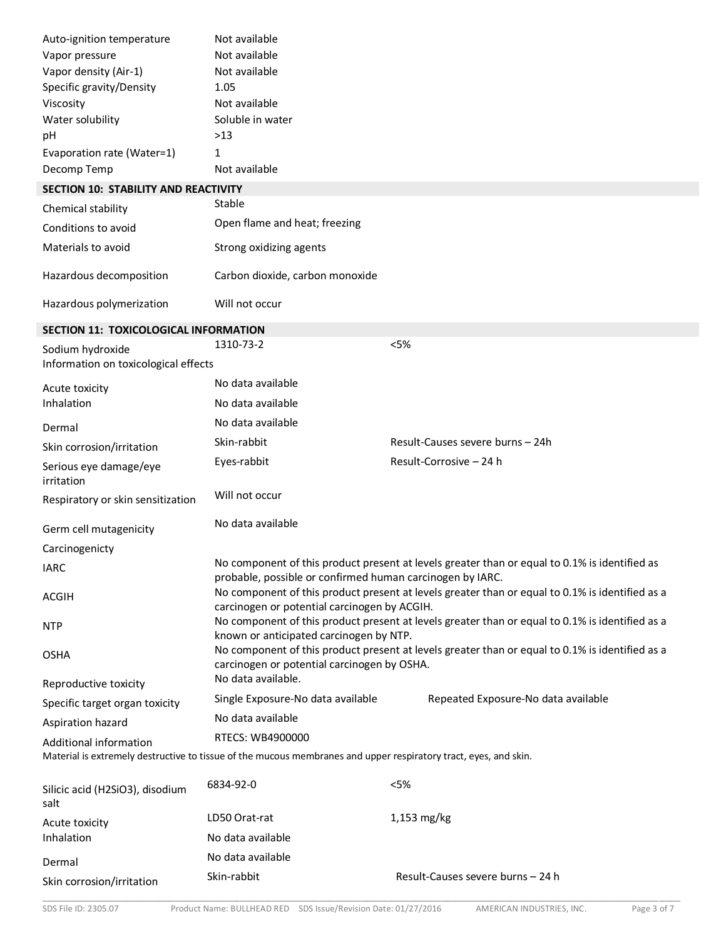| Auto-ignition temperature                    | Not available                                                                                                                        |                                                                                                 |
|----------------------------------------------|--------------------------------------------------------------------------------------------------------------------------------------|-------------------------------------------------------------------------------------------------|
| Vapor pressure                               | Not available                                                                                                                        |                                                                                                 |
| Vapor density (Air-1)                        | Not available                                                                                                                        |                                                                                                 |
| Specific gravity/Density                     | 1.05                                                                                                                                 |                                                                                                 |
| Viscosity                                    | Not available                                                                                                                        |                                                                                                 |
| Water solubility                             | Soluble in water                                                                                                                     |                                                                                                 |
| pH                                           | $>13$                                                                                                                                |                                                                                                 |
| Evaporation rate (Water=1)                   | 1                                                                                                                                    |                                                                                                 |
| Decomp Temp                                  | Not available                                                                                                                        |                                                                                                 |
| <b>SECTION 10: STABILITY AND REACTIVITY</b>  |                                                                                                                                      |                                                                                                 |
| Chemical stability                           | Stable                                                                                                                               |                                                                                                 |
| Conditions to avoid                          | Open flame and heat; freezing                                                                                                        |                                                                                                 |
| Materials to avoid                           | Strong oxidizing agents                                                                                                              |                                                                                                 |
| Hazardous decomposition                      | Carbon dioxide, carbon monoxide                                                                                                      |                                                                                                 |
| Hazardous polymerization                     | Will not occur                                                                                                                       |                                                                                                 |
| <b>SECTION 11: TOXICOLOGICAL INFORMATION</b> |                                                                                                                                      |                                                                                                 |
| Sodium hydroxide                             | 1310-73-2                                                                                                                            | < 5%                                                                                            |
| Information on toxicological effects         |                                                                                                                                      |                                                                                                 |
| Acute toxicity                               | No data available                                                                                                                    |                                                                                                 |
| Inhalation                                   | No data available                                                                                                                    |                                                                                                 |
| Dermal                                       | No data available                                                                                                                    |                                                                                                 |
| Skin corrosion/irritation                    | Skin-rabbit                                                                                                                          | Result-Causes severe burns - 24h                                                                |
| Serious eye damage/eye<br>irritation         | Eyes-rabbit                                                                                                                          | Result-Corrosive - 24 h                                                                         |
| Respiratory or skin sensitization            | Will not occur                                                                                                                       |                                                                                                 |
| Germ cell mutagenicity                       | No data available                                                                                                                    |                                                                                                 |
| Carcinogenicty                               |                                                                                                                                      |                                                                                                 |
| <b>IARC</b>                                  |                                                                                                                                      | No component of this product present at levels greater than or equal to 0.1% is identified as   |
| <b>ACGIH</b>                                 | probable, possible or confirmed human carcinogen by IARC.<br>carcinogen or potential carcinogen by ACGIH.                            | No component of this product present at levels greater than or equal to 0.1% is identified as a |
| <b>NTP</b>                                   |                                                                                                                                      | No component of this product present at levels greater than or equal to 0.1% is identified as a |
| <b>OSHA</b>                                  | known or anticipated carcinogen by NTP.<br>carcinogen or potential carcinogen by OSHA.                                               | No component of this product present at levels greater than or equal to 0.1% is identified as a |
| Reproductive toxicity                        | No data available.                                                                                                                   |                                                                                                 |
| Specific target organ toxicity               | Single Exposure-No data available                                                                                                    | Repeated Exposure-No data available                                                             |
| Aspiration hazard                            | No data available                                                                                                                    |                                                                                                 |
| Additional information                       | RTECS: WB4900000<br>Material is extremely destructive to tissue of the mucous membranes and upper respiratory tract, eyes, and skin. |                                                                                                 |
| Silicic acid (H2SiO3), disodium<br>salt      | 6834-92-0                                                                                                                            | < 5%                                                                                            |
| Acute toxicity                               | LD50 Orat-rat                                                                                                                        | 1,153 mg/kg                                                                                     |
| Inhalation                                   | No data available                                                                                                                    |                                                                                                 |
| Dermal                                       | No data available                                                                                                                    |                                                                                                 |
| Skin corrosion/irritation                    | Skin-rabbit                                                                                                                          | Result-Causes severe burns - 24 h                                                               |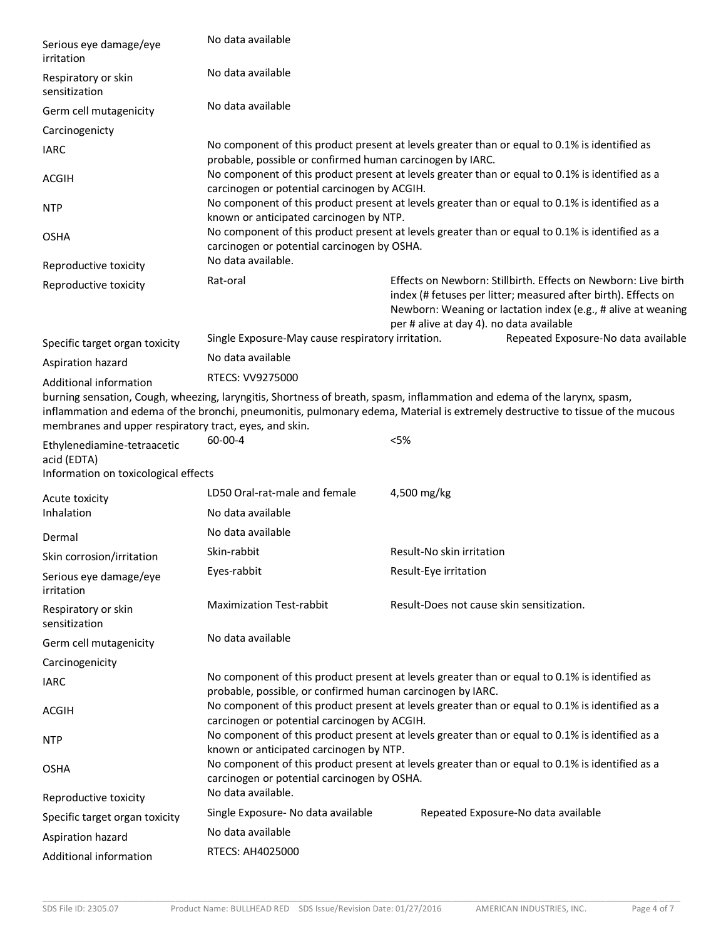| Serious eye damage/eye<br>irritation                                               | No data available                                          |                                                                                                                                                                                                                                                            |  |  |  |
|------------------------------------------------------------------------------------|------------------------------------------------------------|------------------------------------------------------------------------------------------------------------------------------------------------------------------------------------------------------------------------------------------------------------|--|--|--|
| Respiratory or skin<br>sensitization                                               | No data available                                          |                                                                                                                                                                                                                                                            |  |  |  |
| Germ cell mutagenicity                                                             | No data available                                          |                                                                                                                                                                                                                                                            |  |  |  |
| Carcinogenicty                                                                     |                                                            |                                                                                                                                                                                                                                                            |  |  |  |
| <b>IARC</b>                                                                        | probable, possible or confirmed human carcinogen by IARC.  | No component of this product present at levels greater than or equal to 0.1% is identified as                                                                                                                                                              |  |  |  |
| <b>ACGIH</b>                                                                       | carcinogen or potential carcinogen by ACGIH.               | No component of this product present at levels greater than or equal to 0.1% is identified as a                                                                                                                                                            |  |  |  |
| <b>NTP</b>                                                                         | known or anticipated carcinogen by NTP.                    | No component of this product present at levels greater than or equal to 0.1% is identified as a                                                                                                                                                            |  |  |  |
| <b>OSHA</b>                                                                        | carcinogen or potential carcinogen by OSHA.                | No component of this product present at levels greater than or equal to 0.1% is identified as a                                                                                                                                                            |  |  |  |
| Reproductive toxicity                                                              | No data available.                                         |                                                                                                                                                                                                                                                            |  |  |  |
| Reproductive toxicity                                                              | Rat-oral                                                   | Effects on Newborn: Stillbirth, Effects on Newborn: Live birth<br>index (# fetuses per litter; measured after birth). Effects on<br>Newborn: Weaning or lactation index (e.g., # alive at weaning<br>per # alive at day 4). no data available              |  |  |  |
| Specific target organ toxicity                                                     | Single Exposure-May cause respiratory irritation.          | Repeated Exposure-No data available                                                                                                                                                                                                                        |  |  |  |
| Aspiration hazard                                                                  | No data available                                          |                                                                                                                                                                                                                                                            |  |  |  |
| Additional information                                                             | RTECS: VV9275000                                           |                                                                                                                                                                                                                                                            |  |  |  |
| membranes and upper respiratory tract, eyes, and skin.                             |                                                            | burning sensation, Cough, wheezing, laryngitis, Shortness of breath, spasm, inflammation and edema of the larynx, spasm,<br>inflammation and edema of the bronchi, pneumonitis, pulmonary edema, Material is extremely destructive to tissue of the mucous |  |  |  |
| Ethylenediamine-tetraacetic<br>acid (EDTA)<br>Information on toxicological effects | 60-00-4                                                    | < 5%                                                                                                                                                                                                                                                       |  |  |  |
|                                                                                    | LD50 Oral-rat-male and female                              | 4,500 mg/kg                                                                                                                                                                                                                                                |  |  |  |
| Acute toxicity<br>Inhalation                                                       | No data available                                          |                                                                                                                                                                                                                                                            |  |  |  |
| Dermal                                                                             | No data available                                          |                                                                                                                                                                                                                                                            |  |  |  |
| Skin corrosion/irritation                                                          | Skin-rabbit                                                | Result-No skin irritation                                                                                                                                                                                                                                  |  |  |  |
| Serious eye damage/eye                                                             | Eyes-rabbit                                                | Result-Eye irritation                                                                                                                                                                                                                                      |  |  |  |
| irritation<br>Respiratory or skin<br>sensitization                                 | <b>Maximization Test-rabbit</b>                            | Result-Does not cause skin sensitization.                                                                                                                                                                                                                  |  |  |  |
| Germ cell mutagenicity                                                             | No data available                                          |                                                                                                                                                                                                                                                            |  |  |  |
| Carcinogenicity                                                                    |                                                            |                                                                                                                                                                                                                                                            |  |  |  |
| <b>IARC</b>                                                                        | probable, possible, or confirmed human carcinogen by IARC. | No component of this product present at levels greater than or equal to 0.1% is identified as                                                                                                                                                              |  |  |  |
| <b>ACGIH</b>                                                                       | carcinogen or potential carcinogen by ACGIH.               | No component of this product present at levels greater than or equal to 0.1% is identified as a                                                                                                                                                            |  |  |  |
| <b>NTP</b>                                                                         | known or anticipated carcinogen by NTP.                    | No component of this product present at levels greater than or equal to 0.1% is identified as a                                                                                                                                                            |  |  |  |
| <b>OSHA</b>                                                                        | carcinogen or potential carcinogen by OSHA.                | No component of this product present at levels greater than or equal to 0.1% is identified as a                                                                                                                                                            |  |  |  |
| Reproductive toxicity                                                              | No data available.                                         |                                                                                                                                                                                                                                                            |  |  |  |
| Specific target organ toxicity                                                     | Single Exposure- No data available                         | Repeated Exposure-No data available                                                                                                                                                                                                                        |  |  |  |
| Aspiration hazard                                                                  | No data available                                          |                                                                                                                                                                                                                                                            |  |  |  |
| Additional information                                                             | RTECS: AH4025000                                           |                                                                                                                                                                                                                                                            |  |  |  |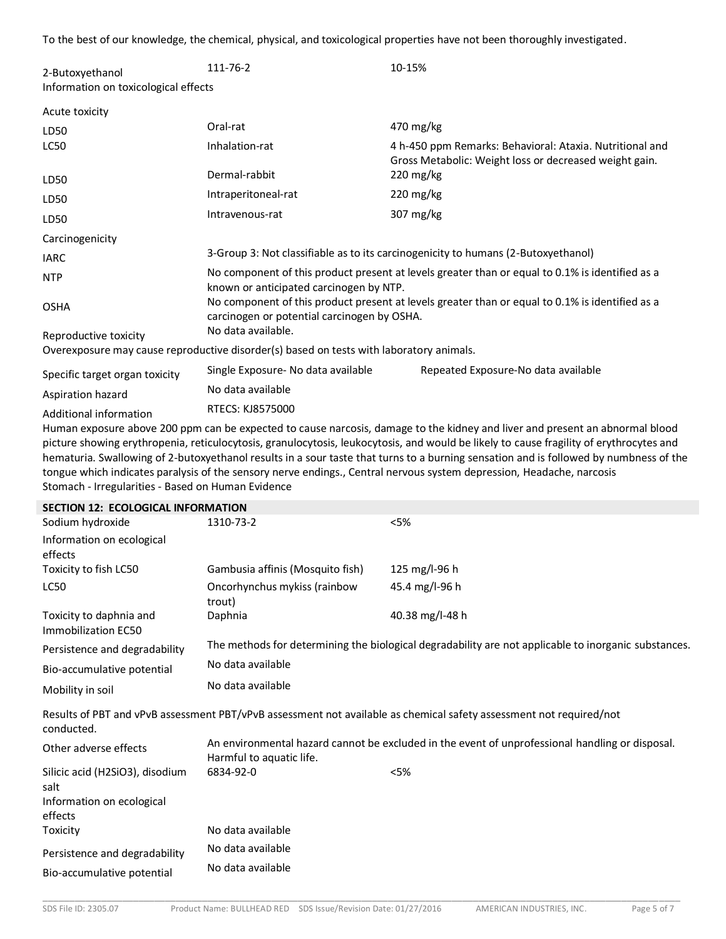To the best of our knowledge, the chemical, physical, and toxicological properties have not been thoroughly investigated.

| 2-Butoxyethanol                      | 111-76-2                                                                                | 10-15%                                                                                                             |  |  |
|--------------------------------------|-----------------------------------------------------------------------------------------|--------------------------------------------------------------------------------------------------------------------|--|--|
| Information on toxicological effects |                                                                                         |                                                                                                                    |  |  |
| Acute toxicity                       |                                                                                         |                                                                                                                    |  |  |
| LD50                                 | Oral-rat                                                                                | 470 mg/kg                                                                                                          |  |  |
| <b>LC50</b>                          | Inhalation-rat                                                                          | 4 h-450 ppm Remarks: Behavioral: Ataxia. Nutritional and<br>Gross Metabolic: Weight loss or decreased weight gain. |  |  |
| LD50                                 | Dermal-rabbit                                                                           | 220 mg/kg                                                                                                          |  |  |
| LD50                                 | Intraperitoneal-rat                                                                     | $220 \frac{\text{mg}}{\text{kg}}$                                                                                  |  |  |
| LD50                                 | Intravenous-rat                                                                         | 307 mg/kg                                                                                                          |  |  |
| Carcinogenicity                      |                                                                                         |                                                                                                                    |  |  |
| <b>IARC</b>                          |                                                                                         | 3-Group 3: Not classifiable as to its carcinogenicity to humans (2-Butoxyethanol)                                  |  |  |
| <b>NTP</b>                           | known or anticipated carcinogen by NTP.                                                 | No component of this product present at levels greater than or equal to 0.1% is identified as a                    |  |  |
| <b>OSHA</b>                          | carcinogen or potential carcinogen by OSHA.                                             | No component of this product present at levels greater than or equal to 0.1% is identified as a                    |  |  |
| Reproductive toxicity                | No data available.                                                                      |                                                                                                                    |  |  |
|                                      | Overexposure may cause reproductive disorder(s) based on tests with laboratory animals. |                                                                                                                    |  |  |
| Specific target organ toxicity       | Single Exposure- No data available                                                      | Repeated Exposure-No data available                                                                                |  |  |
| Aspiration hazard                    | No data available                                                                       |                                                                                                                    |  |  |
| Additional information               | RTECS: KJ8575000                                                                        |                                                                                                                    |  |  |

Human exposure above 200 ppm can be expected to cause narcosis, damage to the kidney and liver and present an abnormal blood picture showing erythropenia, reticulocytosis, granulocytosis, leukocytosis, and would be likely to cause fragility of erythrocytes and hematuria. Swallowing of 2-butoxyethanol results in a sour taste that turns to a burning sensation and is followed by numbness of the tongue which indicates paralysis of the sensory nerve endings., Central nervous system depression, Headache, narcosis Stomach - Irregularities - Based on Human Evidence

| <b>SECTION 12: ECOLOGICAL INFORMATION</b>      |                                        |                                                                                                                     |
|------------------------------------------------|----------------------------------------|---------------------------------------------------------------------------------------------------------------------|
| Sodium hydroxide                               | 1310-73-2                              | $<$ 5%                                                                                                              |
| Information on ecological                      |                                        |                                                                                                                     |
| effects                                        |                                        |                                                                                                                     |
| Toxicity to fish LC50                          | Gambusia affinis (Mosquito fish)       | 125 mg/l-96 h                                                                                                       |
| <b>LC50</b>                                    | Oncorhynchus mykiss (rainbow<br>trout) | 45.4 mg/l-96 h                                                                                                      |
| Toxicity to daphnia and<br>Immobilization EC50 | Daphnia                                | 40.38 mg/l-48 h                                                                                                     |
| Persistence and degradability                  |                                        | The methods for determining the biological degradability are not applicable to inorganic substances.                |
| Bio-accumulative potential                     | No data available                      |                                                                                                                     |
| Mobility in soil                               | No data available                      |                                                                                                                     |
| conducted.                                     |                                        | Results of PBT and vPvB assessment PBT/vPvB assessment not available as chemical safety assessment not required/not |
| Other adverse effects                          | Harmful to aquatic life.               | An environmental hazard cannot be excluded in the event of unprofessional handling or disposal.                     |
| Silicic acid (H2SiO3), disodium                | 6834-92-0                              | $<$ 5%                                                                                                              |
| salt                                           |                                        |                                                                                                                     |
| Information on ecological                      |                                        |                                                                                                                     |
| effects                                        |                                        |                                                                                                                     |
| Toxicity                                       | No data available                      |                                                                                                                     |
| Persistence and degradability                  | No data available                      |                                                                                                                     |
| Bio-accumulative potential                     | No data available                      |                                                                                                                     |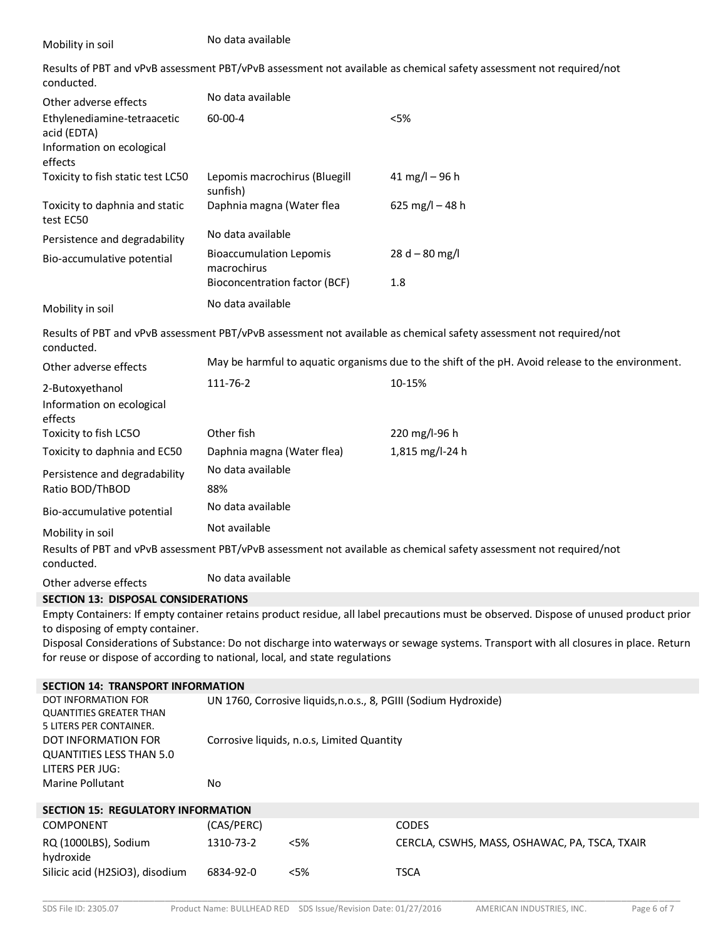| Mobility in soil                                                                                                | No data available                                                                     |                                            |                                                                                                                                                                                                                                                                                |  |
|-----------------------------------------------------------------------------------------------------------------|---------------------------------------------------------------------------------------|--------------------------------------------|--------------------------------------------------------------------------------------------------------------------------------------------------------------------------------------------------------------------------------------------------------------------------------|--|
| conducted.                                                                                                      |                                                                                       |                                            | Results of PBT and vPvB assessment PBT/vPvB assessment not available as chemical safety assessment not required/not                                                                                                                                                            |  |
| Other adverse effects                                                                                           | No data available                                                                     |                                            |                                                                                                                                                                                                                                                                                |  |
| Ethylenediamine-tetraacetic<br>acid (EDTA)<br>Information on ecological<br>effects                              | 60-00-4                                                                               |                                            | < 5%                                                                                                                                                                                                                                                                           |  |
| Toxicity to fish static test LC50                                                                               | Lepomis macrochirus (Bluegill<br>sunfish)                                             |                                            | 41 mg/l $-96$ h                                                                                                                                                                                                                                                                |  |
| Toxicity to daphnia and static<br>test EC50                                                                     | Daphnia magna (Water flea                                                             |                                            | 625 mg/l $-48$ h                                                                                                                                                                                                                                                               |  |
| Persistence and degradability                                                                                   | No data available                                                                     |                                            |                                                                                                                                                                                                                                                                                |  |
| Bio-accumulative potential                                                                                      | <b>Bioaccumulation Lepomis</b><br>macrochirus<br><b>Bioconcentration factor (BCF)</b> |                                            | $28 d - 80 mg/l$<br>1.8                                                                                                                                                                                                                                                        |  |
| Mobility in soil                                                                                                | No data available                                                                     |                                            |                                                                                                                                                                                                                                                                                |  |
| conducted.                                                                                                      |                                                                                       |                                            | Results of PBT and vPvB assessment PBT/vPvB assessment not available as chemical safety assessment not required/not                                                                                                                                                            |  |
| Other adverse effects                                                                                           |                                                                                       |                                            | May be harmful to aquatic organisms due to the shift of the pH. Avoid release to the environment.                                                                                                                                                                              |  |
| 2-Butoxyethanol                                                                                                 | 111-76-2                                                                              |                                            | 10-15%                                                                                                                                                                                                                                                                         |  |
| Information on ecological<br>effects                                                                            |                                                                                       |                                            |                                                                                                                                                                                                                                                                                |  |
| Toxicity to fish LC5O                                                                                           | Other fish                                                                            |                                            | 220 mg/l-96 h                                                                                                                                                                                                                                                                  |  |
| Toxicity to daphnia and EC50                                                                                    | Daphnia magna (Water flea)                                                            |                                            | 1,815 mg/l-24 h                                                                                                                                                                                                                                                                |  |
| Persistence and degradability<br>Ratio BOD/ThBOD                                                                | No data available<br>88%                                                              |                                            |                                                                                                                                                                                                                                                                                |  |
| Bio-accumulative potential                                                                                      | No data available                                                                     |                                            |                                                                                                                                                                                                                                                                                |  |
| Mobility in soil                                                                                                | Not available                                                                         |                                            |                                                                                                                                                                                                                                                                                |  |
| conducted.                                                                                                      |                                                                                       |                                            | Results of PBT and vPvB assessment PBT/vPvB assessment not available as chemical safety assessment not required/not                                                                                                                                                            |  |
| Other adverse effects                                                                                           | No data available                                                                     |                                            |                                                                                                                                                                                                                                                                                |  |
| <b>SECTION 13: DISPOSAL CONSIDERATIONS</b>                                                                      |                                                                                       |                                            |                                                                                                                                                                                                                                                                                |  |
| to disposing of empty container.<br>for reuse or dispose of according to national, local, and state regulations |                                                                                       |                                            | Empty Containers: If empty container retains product residue, all label precautions must be observed. Dispose of unused product prior<br>Disposal Considerations of Substance: Do not discharge into waterways or sewage systems. Transport with all closures in place. Return |  |
| <b>SECTION 14: TRANSPORT INFORMATION</b>                                                                        |                                                                                       |                                            |                                                                                                                                                                                                                                                                                |  |
| DOT INFORMATION FOR<br><b>QUANTITIES GREATER THAN</b><br>5 LITERS PER CONTAINER.                                |                                                                                       |                                            | UN 1760, Corrosive liquids, n.o.s., 8, PGIII (Sodium Hydroxide)                                                                                                                                                                                                                |  |
| DOT INFORMATION FOR<br><b>QUANTITIES LESS THAN 5.0</b><br>LITERS PER JUG:<br>Marine Pollutant                   | No                                                                                    | Corrosive liquids, n.o.s, Limited Quantity |                                                                                                                                                                                                                                                                                |  |
| <b>SECTION 15: REGULATORY INFORMATION</b>                                                                       |                                                                                       |                                            |                                                                                                                                                                                                                                                                                |  |
| COMPONENT                                                                                                       | (CAS/PERC)                                                                            |                                            | CODES                                                                                                                                                                                                                                                                          |  |
| RQ (1000LBS), Sodium<br>hydroxide                                                                               | 1310-73-2                                                                             | $<$ 5%                                     | CERCLA, CSWHS, MASS, OSHAWAC, PA, TSCA, TXAIR                                                                                                                                                                                                                                  |  |
| Silicic acid (H2SiO3), disodium                                                                                 | 6834-92-0                                                                             | < 5%                                       | <b>TSCA</b>                                                                                                                                                                                                                                                                    |  |